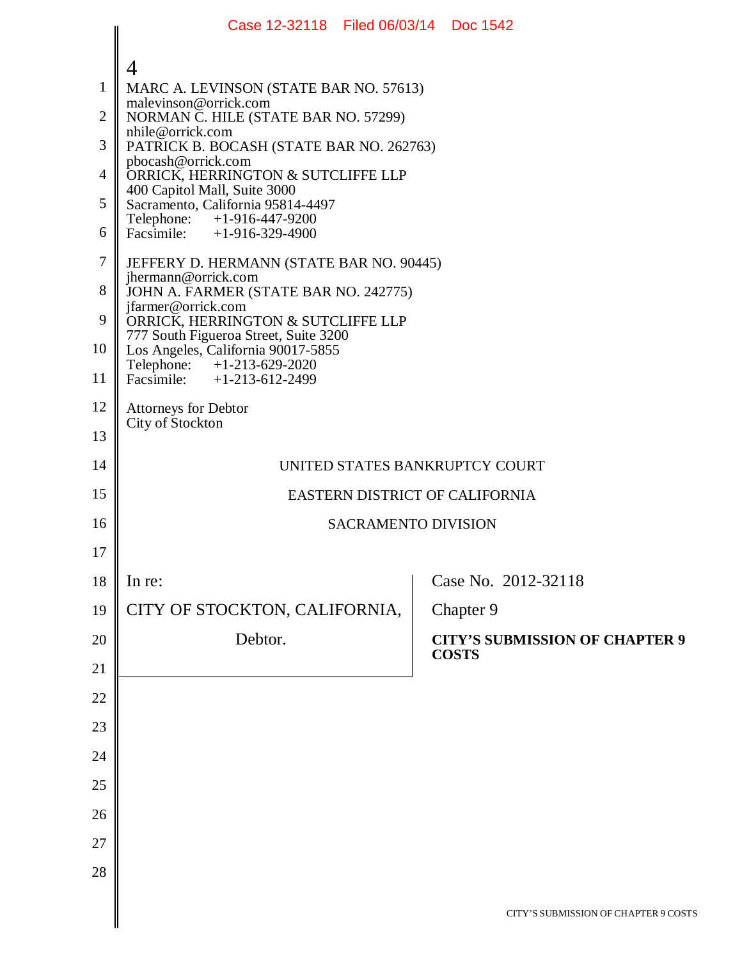|                | Case 12-32118   Filed 06/03/14   Doc 1542                                   |  |                                       |  |  |  |  |  |
|----------------|-----------------------------------------------------------------------------|--|---------------------------------------|--|--|--|--|--|
|                | $\overline{4}$                                                              |  |                                       |  |  |  |  |  |
| $\mathbf{1}$   | MARC A. LEVINSON (STATE BAR NO. 57613)                                      |  |                                       |  |  |  |  |  |
| $\mathbf{2}$   | malevinson@orrick.com<br>NORMAN C. HILE (STATE BAR NO. 57299)               |  |                                       |  |  |  |  |  |
| 3              | nhile@orrick.com<br>PATRICK B. BOCASH (STATE BAR NO. 262763)                |  |                                       |  |  |  |  |  |
| $\overline{4}$ | pbocash@orrick.com<br>ORRICK, HERRINGTON & SUTCLIFFE LLP                    |  |                                       |  |  |  |  |  |
| 5              | 400 Capitol Mall, Suite 3000<br>Sacramento, California 95814-4497           |  |                                       |  |  |  |  |  |
| 6              | Telephone: +1-916-447-9200<br>Facsimile: $+1-916-329-4900$                  |  |                                       |  |  |  |  |  |
| 7              | JEFFERY D. HERMANN (STATE BAR NO. 90445)                                    |  |                                       |  |  |  |  |  |
| 8              | jhermann@orrick.com<br>JOHN A. FARMER (STATE BAR NO. 242775)                |  |                                       |  |  |  |  |  |
| 9              | jfarmer@orrick.com<br>ORRICK, HERRINGTON & SUTCLIFFE LLP                    |  |                                       |  |  |  |  |  |
| 10             | 777 South Figueroa Street, Suite 3200<br>Los Angeles, California 90017-5855 |  |                                       |  |  |  |  |  |
| 11             | Telephone: +1-213-629-2020<br>Facsimile: $+1-213-612-2499$                  |  |                                       |  |  |  |  |  |
| 12             | Attorneys for Debtor                                                        |  |                                       |  |  |  |  |  |
| 13             | City of Stockton                                                            |  |                                       |  |  |  |  |  |
| 14             | UNITED STATES BANKRUPTCY COURT                                              |  |                                       |  |  |  |  |  |
| 15             | EASTERN DISTRICT OF CALIFORNIA                                              |  |                                       |  |  |  |  |  |
| 16             | <b>SACRAMENTO DIVISION</b>                                                  |  |                                       |  |  |  |  |  |
| 17             |                                                                             |  |                                       |  |  |  |  |  |
| 18             | In re:                                                                      |  | Case No. 2012-32118                   |  |  |  |  |  |
| 19             | CITY OF STOCKTON, CALIFORNIA,                                               |  | Chapter 9                             |  |  |  |  |  |
| 20             | Debtor.                                                                     |  | <b>CITY'S SUBMISSION OF CHAPTER 9</b> |  |  |  |  |  |
| 21             |                                                                             |  | <b>COSTS</b>                          |  |  |  |  |  |
| 22             |                                                                             |  |                                       |  |  |  |  |  |
| 23             |                                                                             |  |                                       |  |  |  |  |  |
| 24             |                                                                             |  |                                       |  |  |  |  |  |
| 25             |                                                                             |  |                                       |  |  |  |  |  |
| 26             |                                                                             |  |                                       |  |  |  |  |  |
| 27             |                                                                             |  |                                       |  |  |  |  |  |
| 28             |                                                                             |  |                                       |  |  |  |  |  |
|                |                                                                             |  | CITY'S SUBMISSION OF CHAPTER 9 COSTS  |  |  |  |  |  |
|                |                                                                             |  |                                       |  |  |  |  |  |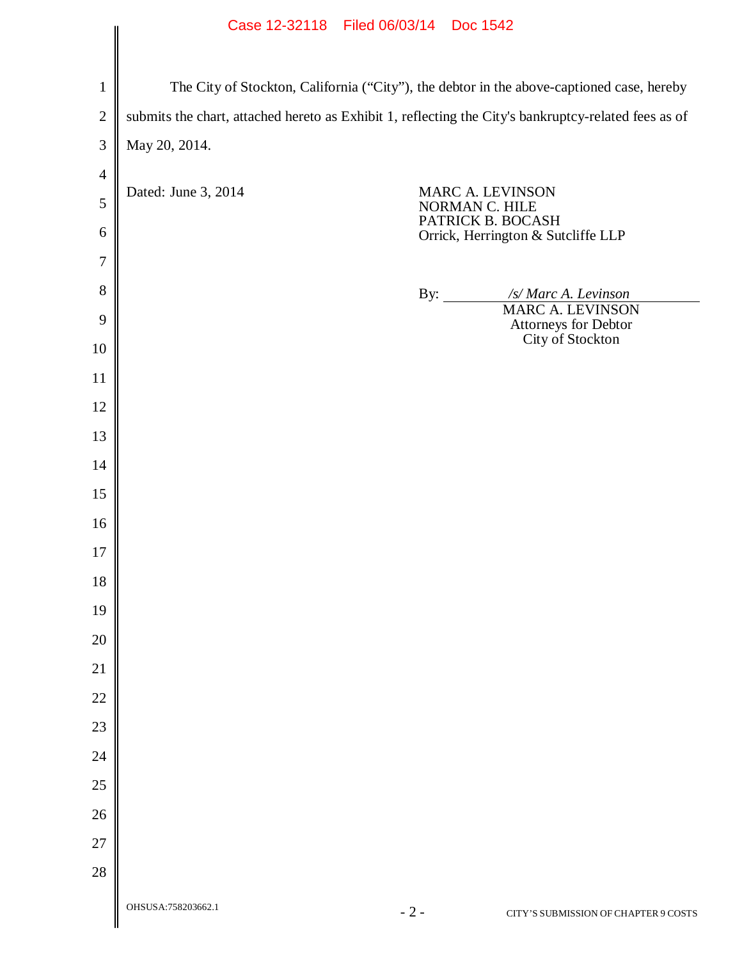## Case 12-32118 Filed 06/03/14 Doc 1542

|                | Case IZ-32118 Filed 00/03/14 DOC 1942                                                                |                     |                                                                                               |  |  |  |
|----------------|------------------------------------------------------------------------------------------------------|---------------------|-----------------------------------------------------------------------------------------------|--|--|--|
|                |                                                                                                      |                     |                                                                                               |  |  |  |
| $\mathbf{1}$   | The City of Stockton, California ("City"), the debtor in the above-captioned case, hereby            |                     |                                                                                               |  |  |  |
| $\overline{2}$ | submits the chart, attached hereto as Exhibit 1, reflecting the City's bankruptcy-related fees as of |                     |                                                                                               |  |  |  |
| 3              | May 20, 2014.                                                                                        |                     |                                                                                               |  |  |  |
| $\overline{4}$ |                                                                                                      |                     |                                                                                               |  |  |  |
| 5              | Dated: June 3, 2014                                                                                  |                     | MARC A. LEVINSON<br>NORMAN C. HILE<br>PATRICK B. BOCASH<br>Orrick, Herrington & Sutcliffe LLP |  |  |  |
| 6              |                                                                                                      |                     |                                                                                               |  |  |  |
| $\tau$         |                                                                                                      |                     |                                                                                               |  |  |  |
| 8              |                                                                                                      | By: $\qquad \qquad$ | /s/ Marc A. Levinson<br><b>MARC A. LEVINSON</b>                                               |  |  |  |
| 9<br>10        |                                                                                                      |                     | Attorneys for Debtor<br>City of Stockton                                                      |  |  |  |
| 11             |                                                                                                      |                     |                                                                                               |  |  |  |
| 12             |                                                                                                      |                     |                                                                                               |  |  |  |
| 13             |                                                                                                      |                     |                                                                                               |  |  |  |
| 14             |                                                                                                      |                     |                                                                                               |  |  |  |
| 15             |                                                                                                      |                     |                                                                                               |  |  |  |
| 16             |                                                                                                      |                     |                                                                                               |  |  |  |
| 17             |                                                                                                      |                     |                                                                                               |  |  |  |
| 18             |                                                                                                      |                     |                                                                                               |  |  |  |
| 19             |                                                                                                      |                     |                                                                                               |  |  |  |
| 20             |                                                                                                      |                     |                                                                                               |  |  |  |
| 21             |                                                                                                      |                     |                                                                                               |  |  |  |
| 22             |                                                                                                      |                     |                                                                                               |  |  |  |
| 23             |                                                                                                      |                     |                                                                                               |  |  |  |
| 24             |                                                                                                      |                     |                                                                                               |  |  |  |
| 25             |                                                                                                      |                     |                                                                                               |  |  |  |
| 26             |                                                                                                      |                     |                                                                                               |  |  |  |
| 27             |                                                                                                      |                     |                                                                                               |  |  |  |
| 28             |                                                                                                      |                     |                                                                                               |  |  |  |
|                | OHSUSA:758203662.1                                                                                   | $-2-$               | CITY'S SUBMISSION OF CHAPTER 9 COSTS                                                          |  |  |  |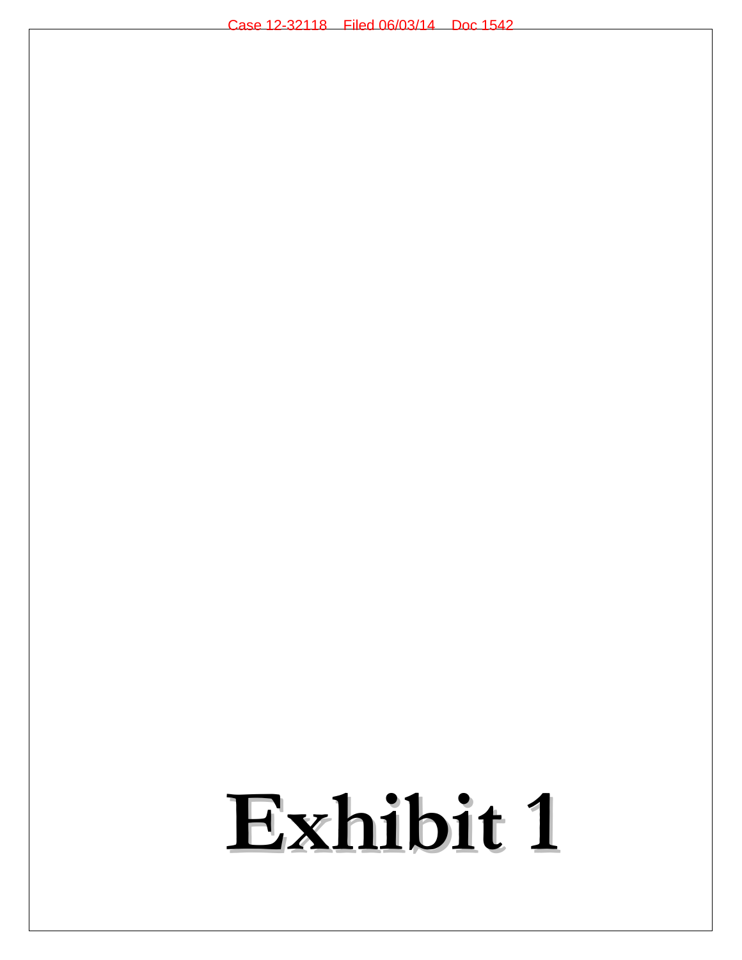## **Exhibit 1**